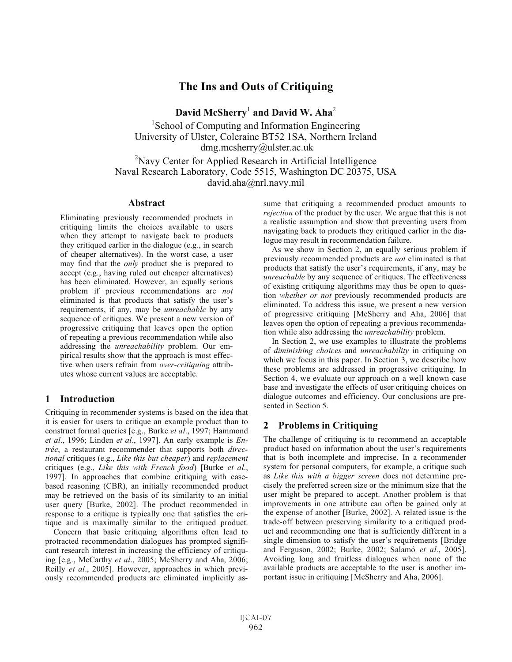# **The Ins and Outs of Critiquing**

**David McSherry**<sup>1</sup> **and David W. Aha**<sup>2</sup>

<sup>1</sup>School of Computing and Information Engineering University of Ulster, Coleraine BT52 1SA, Northern Ireland dmg.mcsherry@ulster.ac.uk

<sup>2</sup>Navy Center for Applied Research in Artificial Intelligence Naval Research Laboratory, Code 5515, Washington DC 20375, USA david.aha@nrl.navy.mil

### **Abstract**

Eliminating previously recommended products in critiquing limits the choices available to users when they attempt to navigate back to products they critiqued earlier in the dialogue (e.g., in search of cheaper alternatives). In the worst case, a user may find that the *only* product she is prepared to accept (e.g., having ruled out cheaper alternatives) has been eliminated. However, an equally serious problem if previous recommendations are *not* eliminated is that products that satisfy the user's requirements, if any, may be *unreachable* by any sequence of critiques. We present a new version of progressive critiquing that leaves open the option of repeating a previous recommendation while also addressing the *unreachability* problem. Our empirical results show that the approach is most effective when users refrain from *over-critiquing* attributes whose current values are acceptable.

# **1 Introduction**

Critiquing in recommender systems is based on the idea that it is easier for users to critique an example product than to construct formal queries [e.g., Burke *et al*., 1997; Hammond *et al*., 1996; Linden *et al*., 1997]. An early example is *Entrée*, a restaurant recommender that supports both *directional* critiques (e.g., *Like this but cheaper*) and *replacement* critiques (e.g., *Like this with French food*) [Burke *et al*., 1997]. In approaches that combine critiquing with casebased reasoning (CBR), an initially recommended product may be retrieved on the basis of its similarity to an initial user query [Burke, 2002]. The product recommended in response to a critique is typically one that satisfies the critique and is maximally similar to the critiqued product.

Concern that basic critiquing algorithms often lead to protracted recommendation dialogues has prompted significant research interest in increasing the efficiency of critiquing [e.g., McCarthy *et al*., 2005; McSherry and Aha, 2006; Reilly *et al*., 2005]. However, approaches in which previously recommended products are eliminated implicitly assume that critiquing a recommended product amounts to *rejection* of the product by the user. We argue that this is not a realistic assumption and show that preventing users from navigating back to products they critiqued earlier in the dialogue may result in recommendation failure.

As we show in Section 2, an equally serious problem if previously recommended products are *not* eliminated is that products that satisfy the user's requirements, if any, may be *unreachable* by any sequence of critiques. The effectiveness of existing critiquing algorithms may thus be open to question *whether or not* previously recommended products are eliminated. To address this issue, we present a new version of progressive critiquing [McSherry and Aha, 2006] that leaves open the option of repeating a previous recommendation while also addressing the *unreachability* problem.

In Section 2, we use examples to illustrate the problems of *diminishing choices* and *unreachability* in critiquing on which we focus in this paper. In Section 3, we describe how these problems are addressed in progressive critiquing. In Section 4, we evaluate our approach on a well known case base and investigate the effects of user critiquing choices on dialogue outcomes and efficiency. Our conclusions are presented in Section 5.

# **2 Problems in Critiquing**

The challenge of critiquing is to recommend an acceptable product based on information about the user's requirements that is both incomplete and imprecise. In a recommender system for personal computers, for example, a critique such as *Like this with a bigger screen* does not determine precisely the preferred screen size or the minimum size that the user might be prepared to accept. Another problem is that improvements in one attribute can often be gained only at the expense of another [Burke, 2002]. A related issue is the trade-off between preserving similarity to a critiqued product and recommending one that is sufficiently different in a single dimension to satisfy the user's requirements [Bridge and Ferguson, 2002; Burke, 2002; Salamó *et al*., 2005]. Avoiding long and fruitless dialogues when none of the available products are acceptable to the user is another important issue in critiquing [McSherry and Aha, 2006].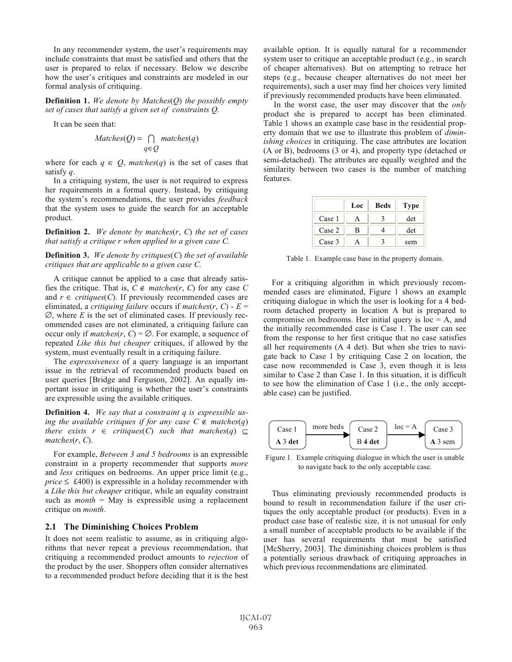In any recommender system, the user's requirements may include constraints that must be satisfied and others that the user is prepared to relax if necessary. Below we describe how the user's critiques and constraints are modeled in our formal analysis of critiquing.

**Definition 1.** *We denote by Matches*(*Q*) *the possibly empty set of cases that satisfy a given set of constraints Q.*

It can be seen that:

$$
Matches(Q) = \bigcap_{q \in Q} matches(q)
$$

where for each  $q \in Q$ , *matches*(*q*) is the set of cases that satisfy *q*.

In a critiquing system, the user is not required to express her requirements in a formal query. Instead, by critiquing the system's recommendations, the user provides *feedback* that the system uses to guide the search for an acceptable product.

**Definition 2.** *We denote by matches*(*r*, *C*) *the set of cases that satisfy a critique r when applied to a given case C.*

**Definition 3.** *We denote by critiques*(*C*) *the set of available critiques that are applicable to a given case C.*

A critique cannot be applied to a case that already satisfies the critique. That is,  $C \notin \text{matches}(r, C)$  for any case C and  $r \in \text{critiques}(C)$ . If previously recommended cases are eliminated, a *critiquing failure* occurs if *matches* $(r, C)$  -  $E =$ ∅, where *E* is the set of eliminated cases. If previously recommended cases are not eliminated, a critiquing failure can occur only if  $matches(r, C) = \emptyset$ . For example, a sequence of repeated *Like this but cheaper* critiques, if allowed by the system, must eventually result in a critiquing failure.

The *expressiveness* of a query language is an important issue in the retrieval of recommended products based on user queries [Bridge and Ferguson, 2002]. An equally important issue in critiquing is whether the user's constraints are expressible using the available critiques.

**Definition 4.** *We say that a constraint q is expressible using the available critiques if for any case*  $C \notin$  *matches* $(q)$ *there exists*  $r \in \text{critiques}(C) \text{ such that matches(q)} \subseteq$ *matches*(*r*, *C*).

For example, *Between 3 and 5 bedrooms* is an expressible constraint in a property recommender that supports *more* and *less* critiques on bedrooms. An upper price limit (e.g.,  $price \leq \text{\pounds}400$ ) is expressible in a holiday recommender with a *Like this but cheaper* critique, while an equality constraint such as *month* = May is expressible using a replacement critique on *month*.

#### **2.1 The Diminishing Choices Problem**

It does not seem realistic to assume, as in critiquing algorithms that never repeat a previous recommendation, that critiquing a recommended product amounts to *rejection* of the product by the user. Shoppers often consider alternatives to a recommended product before deciding that it is the best

available option. It is equally natural for a recommender system user to critique an acceptable product (e.g., in search of cheaper alternatives). But on attempting to retrace her steps (e.g., because cheaper alternatives do not meet her requirements), such a user may find her choices very limited if previously recommended products have been eliminated.

In the worst case, the user may discover that the *only* product she is prepared to accept has been eliminated. Table 1 shows an example case base in the residential property domain that we use to illustrate this problem of *diminishing choices* in critiquing. The case attributes are location (A or B), bedrooms (3 or 4), and property type (detached or semi-detached). The attributes are equally weighted and the similarity between two cases is the number of matching features.

|        | Loc | <b>Beds</b> | <b>Type</b> |
|--------|-----|-------------|-------------|
| Case 1 |     |             | det         |
| Case 2 | в   |             | det         |
| Case 3 |     |             | sem         |

Table 1. Example case base in the property domain.

For a critiquing algorithm in which previously recommended cases are eliminated, Figure 1 shows an example critiquing dialogue in which the user is looking for a 4 bedroom detached property in location A but is prepared to compromise on bedrooms. Her initial query is  $loc = A$ , and the initially recommended case is Case 1. The user can see from the response to her first critique that no case satisfies all her requirements (A 4 det). But when she tries to navigate back to Case 1 by critiquing Case 2 on location, the case now recommended is Case 3, even though it is less similar to Case 2 than Case 1. In this situation, it is difficult to see how the elimination of Case 1 (i.e., the only acceptable case) can be justified.



Figure 1. Example critiquing dialogue in which the user is unable to navigate back to the only acceptable case.

Thus eliminating previously recommended products is bound to result in recommendation failure if the user critiques the only acceptable product (or products). Even in a product case base of realistic size, it is not unusual for only a small number of acceptable products to be available if the user has several requirements that must be satisfied [McSherry, 2003]. The diminishing choices problem is thus a potentially serious drawback of critiquing approaches in which previous recommendations are eliminated.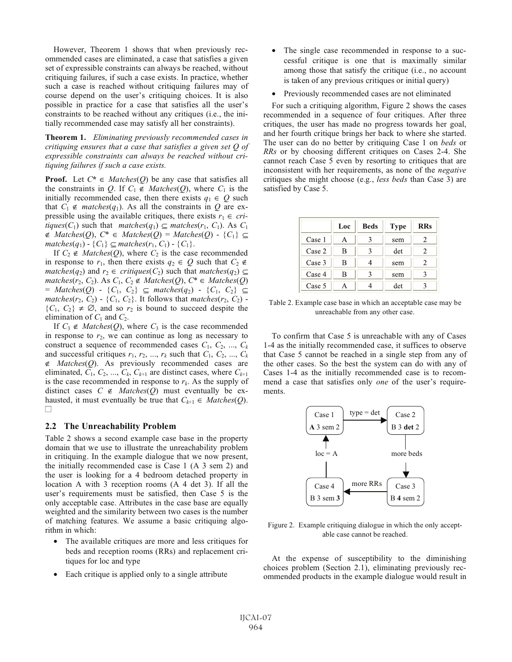However, Theorem 1 shows that when previously recommended cases are eliminated, a case that satisfies a given set of expressible constraints can always be reached, without critiquing failures, if such a case exists. In practice, whether such a case is reached without critiquing failures may of course depend on the user's critiquing choices. It is also possible in practice for a case that satisfies all the user's constraints to be reached without any critiques (i.e., the initially recommended case may satisfy all her constraints).

**Theorem 1.** *Eliminating previously recommended cases in critiquing ensures that a case that satisfies a given set Q of expressible constraints can always be reached without critiquing failures if such a case exists.*

**Proof.** Let  $C^* \in \text{Matches}(Q)$  be any case that satisfies all the constraints in *Q*. If  $C_1 \notin \text{Matches}(Q)$ , where  $C_1$  is the initially recommended case, then there exists  $q_1 \in Q$  such that  $C_1 \notin$  *matches*( $q_1$ ). As all the constraints in  $Q$  are expressible using the available critiques, there exists  $r_1 \in cri$ *tiques*( $C_1$ ) such that *matches*( $q_1$ )  $\subseteq$  *matches*( $r_1$ ,  $C_1$ ). As  $C_1$ ∉ *Matches*(*Q*), *C*\* ∈ *Matches*(*Q*) = *Matches*(*Q*)-{*C*1} ⊆ *matches*(*q*<sub>1</sub>) − { $C_1$ } ⊆ *matches*( $r_1$ ,  $C_1$ ) − { $C_1$ }.

If  $C_2 \notin \text{Matches}(Q)$ , where  $C_2$  is the case recommended in response to  $r_1$ , then there exists  $q_2 \in Q$  such that  $C_2 \notin$ *matches*(*q*<sub>2</sub>) and *r*<sub>2</sub> ∈ *critiques*(*C*<sub>2</sub>) such that *matches*(*q*<sub>2</sub>) ⊆ *matches*( $r_2$ ,  $C_2$ ). As  $C_1$ ,  $C_2$  ∉ *Matches*( $Q$ ),  $C^*$  ∈ *Matches*( $Q$ )  $=$  *Matches*( $Q$ ) - { $C_1$ ,  $C_2$ }  $\subseteq$  *matches*( $q_2$ ) - { $C_1$ ,  $C_2$ }  $\subseteq$ *matches*( $r_2$ ,  $C_2$ ) - { $C_1$ ,  $C_2$ }. It follows that *matches*( $r_2$ ,  $C_2$ ) - ${C_1, C_2} \neq \emptyset$ , and so  $r_2$  is bound to succeed despite the elimination of  $C_1$  and  $C_2$ .

If  $C_3 \notin \text{Matches}(Q)$ , where  $C_3$  is the case recommended in response to  $r_2$ , we can continue as long as necessary to construct a sequence of recommended cases  $C_1$ ,  $C_2$ , ...,  $C_k$ and successful critiques  $r_1$ ,  $r_2$ , ...,  $r_k$  such that  $C_1$ ,  $C_2$ , ...,  $C_k$ ∉ *Matches*(*Q*). As previously recommended cases are eliminated,  $C_1$ ,  $C_2$ , ...,  $C_k$ ,  $C_{k+1}$  are distinct cases, where  $C_{k+1}$ is the case recommended in response to  $r_k$ . As the supply of distinct cases  $C \notin \text{Matches}(Q)$  must eventually be exhausted, it must eventually be true that  $C_{k+1} \in \text{Matches}(Q)$ . ■

#### **2.2 The Unreachability Problem**

Table 2 shows a second example case base in the property domain that we use to illustrate the unreachability problem in critiquing. In the example dialogue that we now present, the initially recommended case is Case 1 (A 3 sem 2) and the user is looking for a 4 bedroom detached property in location A with 3 reception rooms (A 4 det 3). If all the user's requirements must be satisfied, then Case 5 is the only acceptable case. Attributes in the case base are equally weighted and the similarity between two cases is the number of matching features. We assume a basic critiquing algorithm in which:

- The available critiques are more and less critiques for beds and reception rooms (RRs) and replacement critiques for loc and type •
- Each critique is applied only to a single attribute •
- The single case recommended in response to a successful critique is one that is maximally similar among those that satisfy the critique (i.e., no account is taken of any previous critiques or initial query) •
- Previously recommended cases are not eliminated •

For such a critiquing algorithm, Figure 2 shows the cases recommended in a sequence of four critiques. After three critiques, the user has made no progress towards her goal, and her fourth critique brings her back to where she started. The user can do no better by critiquing Case 1 on *beds* or *RRs* or by choosing different critiques on Cases 2-4. She cannot reach Case 5 even by resorting to critiques that are inconsistent with her requirements, as none of the *negative* critiques she might choose (e.g., *less beds* than Case 3) are satisfied by Case 5.

|        | Loc | <b>Beds</b> | <b>Type</b> | <b>RRs</b> |
|--------|-----|-------------|-------------|------------|
| Case 1 | А   |             | sem         | 2          |
| Case 2 | B   |             | det         | 2.         |
| Case 3 | B   |             | sem         | 2          |
| Case 4 | в   |             | sem         |            |
| Case 5 |     |             | det         |            |

Table 2. Example case base in which an acceptable case may be unreachable from any other case.

To confirm that Case 5 is unreachable with any of Cases 1-4 as the initially recommended case, it suffices to observe that Case 5 cannot be reached in a single step from any of the other cases. So the best the system can do with any of Cases 1-4 as the initially recommended case is to recommend a case that satisfies only *one* of the user's requirements.



Figure 2. Example critiquing dialogue in which the only acceptable case cannot be reached.

At the expense of susceptibility to the diminishing choices problem (Section 2.1), eliminating previously recommended products in the example dialogue would result in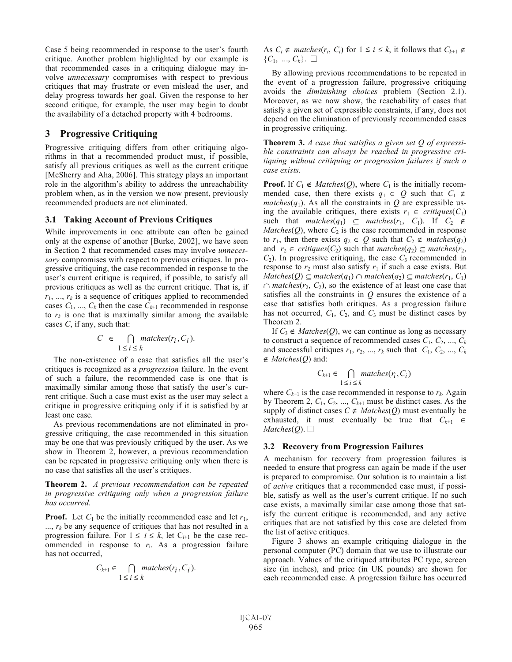Case 5 being recommended in response to the user's fourth critique. Another problem highlighted by our example is that recommended cases in a critiquing dialogue may involve *unnecessary* compromises with respect to previous critiques that may frustrate or even mislead the user, and delay progress towards her goal. Given the response to her second critique, for example, the user may begin to doubt the availability of a detached property with 4 bedrooms.

# **3 Progressive Critiquing**

Progressive critiquing differs from other critiquing algorithms in that a recommended product must, if possible, satisfy all previous critiques as well as the current critique [McSherry and Aha, 2006]. This strategy plays an important role in the algorithm's ability to address the unreachability problem when, as in the version we now present, previously recommended products are not eliminated.

#### **3.1 Taking Account of Previous Critiques**

While improvements in one attribute can often be gained only at the expense of another [Burke, 2002], we have seen in Section 2 that recommended cases may involve *unnecessary* compromises with respect to previous critiques. In progressive critiquing, the case recommended in response to the user's current critique is required, if possible, to satisfy all previous critiques as well as the current critique. That is, if  $r_1$ , ...,  $r_k$  is a sequence of critiques applied to recommended cases  $C_1$ , ...,  $C_k$  then the case  $C_{k+1}$  recommended in response to  $r_k$  is one that is maximally similar among the available cases *C*, if any, such that:

$$
C \in \bigcap_{1 \le i \le k} matches(r_i, C_i).
$$

The non-existence of a case that satisfies all the user's critiques is recognized as a *progression* failure. In the event of such a failure, the recommended case is one that is maximally similar among those that satisfy the user's current critique. Such a case must exist as the user may select a critique in progressive critiquing only if it is satisfied by at least one case.

As previous recommendations are not eliminated in progressive critiquing, the case recommended in this situation may be one that was previously critiqued by the user. As we show in Theorem 2, however, a previous recommendation can be repeated in progressive critiquing only when there is no case that satisfies all the user's critiques.

**Theorem 2.** *A previous recommendation can be repeated in progressive critiquing only when a progression failure has occurred.*

**Proof.** Let  $C_1$  be the initially recommended case and let  $r_1$ ,  $..., r_k$  be any sequence of critiques that has not resulted in a progression failure. For  $1 \le i \le k$ , let  $C_{i+1}$  be the case recommended in response to  $r_i$ . As a progression failure has not occurred,

$$
C_{k+1} \in \bigcap_{1 \le i \le k} matches(r_i, C_i).
$$

As  $C_i \notin$  *matches*( $r_i$ ,  $C_i$ ) for  $1 \leq i \leq k$ , it follows that  $C_{k+1} \notin$  ${C_1, ..., C_k}. \square$ 

By allowing previous recommendations to be repeated in the event of a progression failure, progressive critiquing avoids the *diminishing choices* problem (Section 2.1). Moreover, as we now show, the reachability of cases that satisfy a given set of expressible constraints, if any, does not depend on the elimination of previously recommended cases in progressive critiquing.

**Theorem 3.** *A case that satisfies a given set Q of expressible constraints can always be reached in progressive critiquing without critiquing or progression failures if such a case exists.*

**Proof.** If  $C_1 \notin \text{Matches}(Q)$ , where  $C_1$  is the initially recommended case, then there exists  $q_1 \in Q$  such that  $C_1 \notin$ *matches*( $q_1$ ). As all the constraints in  $Q$  are expressible using the available critiques, there exists  $r_1 \in \text{critiques}(C_1)$ such that  $matches(q_1) \subseteq matches(r_1, C_1)$ . If  $C_2 \notin$ *Matches*( $Q$ ), where  $C_2$  is the case recommended in response to  $r_1$ , then there exists  $q_2 \in Q$  such that  $C_2 \notin$  *matches*( $q_2$ ) and  $r_2 \in \text{critiques}(C_2)$  such that  $\text{matches}(q_2) \subseteq \text{matches}(r_2)$ ,  $C_2$ ). In progressive critiquing, the case  $C_3$  recommended in response to  $r_2$  must also satisfy  $r_1$  if such a case exists. But *Matches*(*Q*) ⊆ *matches*(*q*<sub>1</sub>) ∩ *matches*(*q*<sub>2</sub>) ⊆ *matches*(*r*<sub>1</sub>, *C*<sub>1</sub>)  $\cap$  *matches*( $r_2$ ,  $C_2$ ), so the existence of at least one case that satisfies all the constraints in *Q* ensures the existence of a case that satisfies both critiques. As a progression failure has not occurred,  $C_1$ ,  $C_2$ , and  $C_3$  must be distinct cases by Theorem 2.

If  $C_3 \notin \text{Matches}(Q)$ , we can continue as long as necessary to construct a sequence of recommended cases  $C_1, C_2, ..., C_k$ and successful critiques  $r_1$ ,  $r_2$ , ...,  $r_k$  such that  $C_1$ ,  $C_2$ , ...,  $C_k$ ∉ *Matches*(*Q*) and:

$$
C_{k+1} \in \bigcap_{1 \le i \le k} matches(r_i, C_i)
$$

where  $C_{k+1}$  is the case recommended in response to  $r_k$ . Again by Theorem 2,  $C_1$ ,  $C_2$ , ...,  $C_{k+1}$  must be distinct cases. As the supply of distinct cases  $C \notin \text{Matches}(Q)$  must eventually be exhausted, it must eventually be true that  $C_{k+1} \in$  $Matches(O)$ .  $\Box$ 

#### **3.2 Recovery from Progression Failures**

A mechanism for recovery from progression failures is needed to ensure that progress can again be made if the user is prepared to compromise. Our solution is to maintain a list of *active* critiques that a recommended case must, if possible, satisfy as well as the user's current critique. If no such case exists, a maximally similar case among those that satisfy the current critique is recommended, and any active critiques that are not satisfied by this case are deleted from the list of active critiques.

Figure 3 shows an example critiquing dialogue in the personal computer (PC) domain that we use to illustrate our approach. Values of the critiqued attributes PC type, screen size (in inches), and price (in UK pounds) are shown for each recommended case. A progression failure has occurred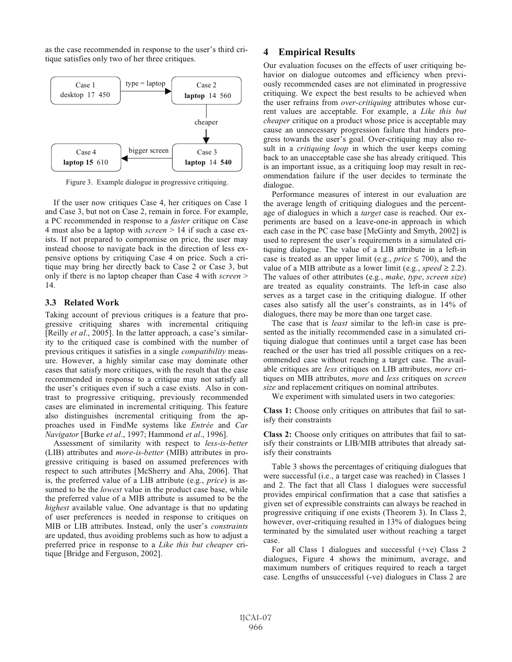as the case recommended in response to the user's third critique satisfies only two of her three critiques.



Figure 3. Example dialogue in progressive critiquing.

If the user now critiques Case 4, her critiques on Case 1 and Case 3, but not on Case 2, remain in force. For example, a PC recommended in response to a *faster* critique on Case 4 must also be a laptop with *screen* > 14 if such a case exists. If not prepared to compromise on price, the user may instead choose to navigate back in the direction of less expensive options by critiquing Case 4 on price. Such a critique may bring her directly back to Case 2 or Case 3, but only if there is no laptop cheaper than Case 4 with *screen* > 14.

#### **3.3 Related Work**

Taking account of previous critiques is a feature that progressive critiquing shares with incremental critiquing [Reilly *et al*., 2005]. In the latter approach, a case's similarity to the critiqued case is combined with the number of previous critiques it satisfies in a single *compatibility* measure. However, a highly similar case may dominate other cases that satisfy more critiques, with the result that the case recommended in response to a critique may not satisfy all the user's critiques even if such a case exists. Also in contrast to progressive critiquing, previously recommended cases are eliminated in incremental critiquing. This feature also distinguishes incremental critiquing from the approaches used in FindMe systems like *Entrée* and *Car Navigator* [Burke *et al*., 1997; Hammond *et al*., 1996].

Assessment of similarity with respect to *less-is-better* (LIB) attributes and *more-is-better* (MIB) attributes in progressive critiquing is based on assumed preferences with respect to such attributes [McSherry and Aha, 2006]. That is, the preferred value of a LIB attribute (e.g., *price*) is assumed to be the *lowest* value in the product case base, while the preferred value of a MIB attribute is assumed to be the *highest* available value. One advantage is that no updating of user preferences is needed in response to critiques on MIB or LIB attributes. Instead, only the user's *constraints* are updated, thus avoiding problems such as how to adjust a preferred price in response to a *Like this but cheaper* critique [Bridge and Ferguson, 2002].

### **4 Empirical Results**

Our evaluation focuses on the effects of user critiquing behavior on dialogue outcomes and efficiency when previously recommended cases are not eliminated in progressive critiquing. We expect the best results to be achieved when the user refrains from *over-critiquing* attributes whose current values are acceptable. For example, a *Like this but cheaper* critique on a product whose price is acceptable may cause an unnecessary progression failure that hinders progress towards the user's goal. Over-critiquing may also result in a *critiquing loop* in which the user keeps coming back to an unacceptable case she has already critiqued. This is an important issue, as a critiquing loop may result in recommendation failure if the user decides to terminate the dialogue.

Performance measures of interest in our evaluation are the average length of critiquing dialogues and the percentage of dialogues in which a *target* case is reached. Our experiments are based on a leave-one-in approach in which each case in the PC case base [McGinty and Smyth, 2002] is used to represent the user's requirements in a simulated critiquing dialogue. The value of a LIB attribute in a left-in case is treated as an upper limit (e.g.,  $price \le 700$ ), and the value of a MIB attribute as a lower limit (e.g., *speed*  $\geq$  2.2). The values of other attributes (e.g., *make*, *type*, *screen size*) are treated as equality constraints. The left-in case also serves as a target case in the critiquing dialogue. If other cases also satisfy all the user's constraints, as in 14% of dialogues, there may be more than one target case.

The case that is *least* similar to the left-in case is presented as the initially recommended case in a simulated critiquing dialogue that continues until a target case has been reached or the user has tried all possible critiques on a recommended case without reaching a target case. The available critiques are *less* critiques on LIB attributes, *more* critiques on MIB attributes, *more* and *less* critiques on *screen size* and replacement critiques on nominal attributes.

We experiment with simulated users in two categories:

**Class 1:** Choose only critiques on attributes that fail to satisfy their constraints

**Class 2:** Choose only critiques on attributes that fail to satisfy their constraints or LIB/MIB attributes that already satisfy their constraints

Table 3 shows the percentages of critiquing dialogues that were successful (i.e., a target case was reached) in Classes 1 and 2. The fact that all Class 1 dialogues were successful provides empirical confirmation that a case that satisfies a given set of expressible constraints can always be reached in progressive critiquing if one exists (Theorem 3). In Class 2, however, over-critiquing resulted in 13% of dialogues being terminated by the simulated user without reaching a target case.

For all Class 1 dialogues and successful (+ve) Class 2 dialogues, Figure 4 shows the minimum, average, and maximum numbers of critiques required to reach a target case. Lengths of unsuccessful (-ve) dialogues in Class 2 are